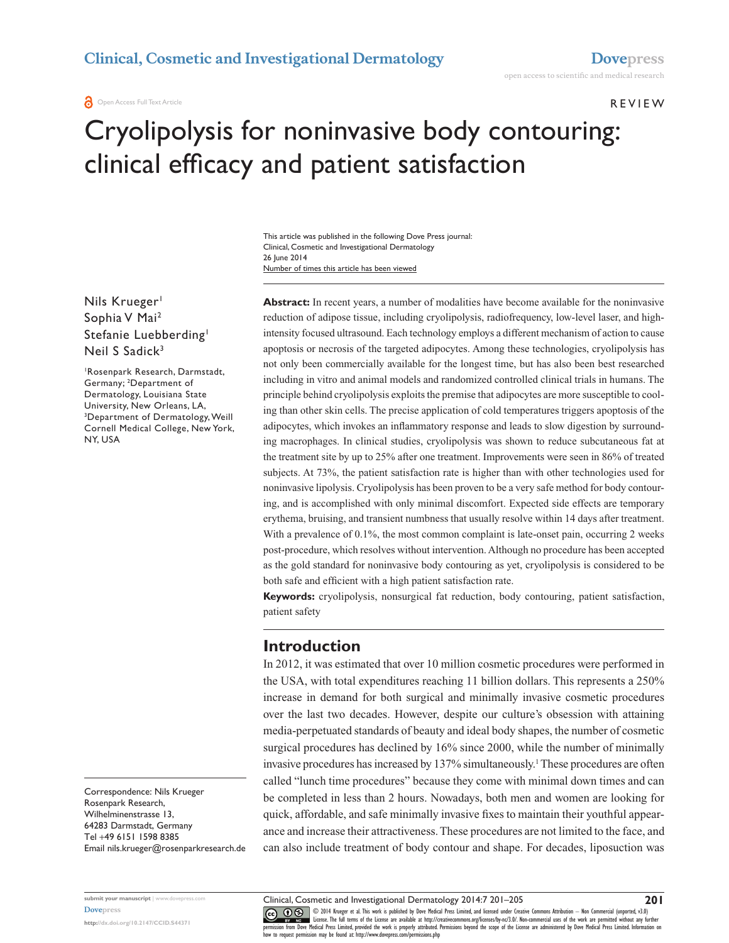**O** Open Access Full Text Article

#### **REVIEW**

# Cryolipolysis for noninvasive body contouring: clinical efficacy and patient satisfaction

Number of times this article has been viewed This article was published in the following Dove Press journal: Clinical, Cosmetic and Investigational Dermatology 26 June 2014

Nils Krueger<sup>1</sup> Sophia V Mai2 Stefanie Luebberding<sup>1</sup> Neil S Sadick<sup>3</sup>

1 Rosenpark Research, Darmstadt, Germany; <sup>2</sup> Department of Dermatology, Louisiana State University, New Orleans, LA, 3 Department of Dermatology, Weill Cornell Medical College, New York, NY, USA

Correspondence: Nils Krueger Rosenpark Research, Wilhelminenstrasse 13, 64283 Darmstadt, Germany Tel +49 6151 1598 8385 Email [nils.krueger@rosenparkresearch.de](mailto:nils.krueger@rosenparkresearch.de) **Abstract:** In recent years, a number of modalities have become available for the noninvasive reduction of adipose tissue, including cryolipolysis, radiofrequency, low-level laser, and highintensity focused ultrasound. Each technology employs a different mechanism of action to cause apoptosis or necrosis of the targeted adipocytes. Among these technologies, cryolipolysis has not only been commercially available for the longest time, but has also been best researched including in vitro and animal models and randomized controlled clinical trials in humans. The principle behind cryolipolysis exploits the premise that adipocytes are more susceptible to cooling than other skin cells. The precise application of cold temperatures triggers apoptosis of the adipocytes, which invokes an inflammatory response and leads to slow digestion by surrounding macrophages. In clinical studies, cryolipolysis was shown to reduce subcutaneous fat at the treatment site by up to 25% after one treatment. Improvements were seen in 86% of treated subjects. At 73%, the patient satisfaction rate is higher than with other technologies used for noninvasive lipolysis. Cryolipolysis has been proven to be a very safe method for body contouring, and is accomplished with only minimal discomfort. Expected side effects are temporary erythema, bruising, and transient numbness that usually resolve within 14 days after treatment. With a prevalence of 0.1%, the most common complaint is late-onset pain, occurring 2 weeks post-procedure, which resolves without intervention. Although no procedure has been accepted as the gold standard for noninvasive body contouring as yet, cryolipolysis is considered to be both safe and efficient with a high patient satisfaction rate.

**Keywords:** cryolipolysis, nonsurgical fat reduction, body contouring, patient satisfaction, patient safety

## **Introduction**

In 2012, it was estimated that over 10 million cosmetic procedures were performed in the USA, with total expenditures reaching 11 billion dollars. This represents a 250% increase in demand for both surgical and minimally invasive cosmetic procedures over the last two decades. However, despite our culture's obsession with attaining media-perpetuated standards of beauty and ideal body shapes, the number of cosmetic surgical procedures has declined by  $16\%$  since 2000, while the number of minimally invasive procedures has increased by 137% simultaneously.<sup>1</sup> These procedures are often called "lunch time procedures" because they come with minimal down times and can be completed in less than 2 hours. Nowadays, both men and women are looking for quick, affordable, and safe minimally invasive fixes to maintain their youthful appearance and increase their attractiveness. These procedures are not limited to the face, and can also include treatment of body contour and shape. For decades, liposuction was

CO ODI4 Krueger et al. This work is published by Dove Medical Press Limited, and licensed under Creative Commons Attribution — Non Commercial (unported, v3.0)<br> [permission from Dove M](http://www.dovepress.com/permissions.php)edical Press Limited, provided the work how to request permission may be found at: http://www.dovepress.com/permissions.php

**<http://dx.doi.org/10.2147/CCID.S44371>**

**submit your manuscript** | <www.dovepress.com> **[Dovepress](www.dovepress.com)**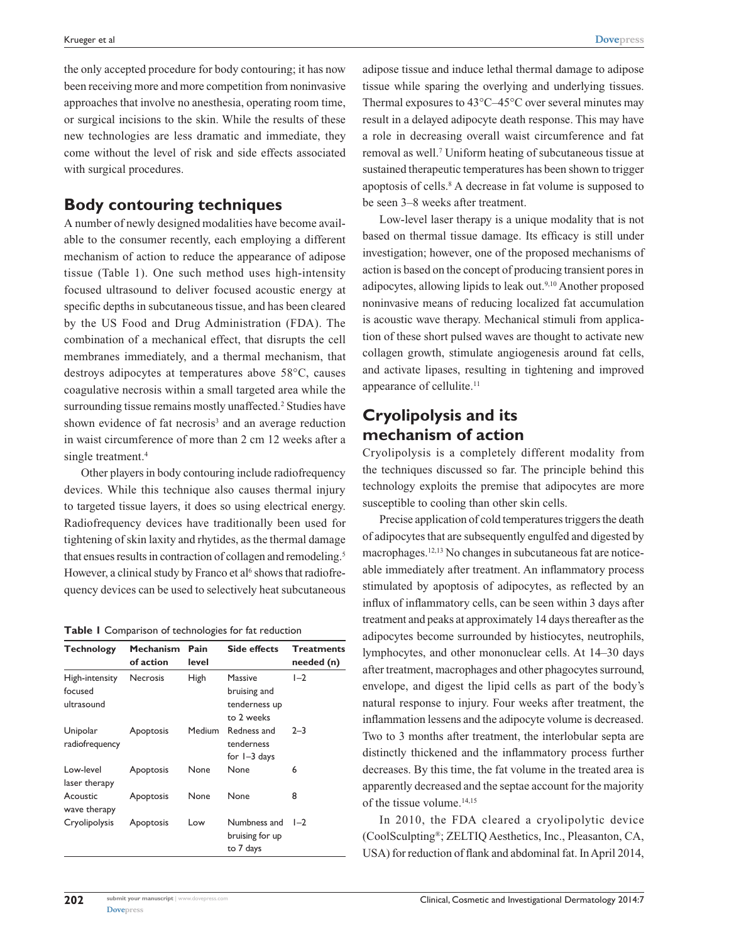the only accepted procedure for body contouring; it has now been receiving more and more competition from noninvasive approaches that involve no anesthesia, operating room time, or surgical incisions to the skin. While the results of these new technologies are less dramatic and immediate, they come without the level of risk and side effects associated with surgical procedures.

## **Body contouring techniques**

A number of newly designed modalities have become available to the consumer recently, each employing a different mechanism of action to reduce the appearance of adipose tissue (Table 1). One such method uses high-intensity focused ultrasound to deliver focused acoustic energy at specific depths in subcutaneous tissue, and has been cleared by the US Food and Drug Administration (FDA). The combination of a mechanical effect, that disrupts the cell membranes immediately, and a thermal mechanism, that destroys adipocytes at temperatures above 58°C, causes coagulative necrosis within a small targeted area while the surrounding tissue remains mostly unaffected.<sup>2</sup> Studies have shown evidence of fat necrosis<sup>3</sup> and an average reduction in waist circumference of more than 2 cm 12 weeks after a single treatment.<sup>4</sup>

Other players in body contouring include radiofrequency devices. While this technique also causes thermal injury to targeted tissue layers, it does so using electrical energy. Radiofrequency devices have traditionally been used for tightening of skin laxity and rhytides, as the thermal damage that ensues results in contraction of collagen and remodeling.<sup>5</sup> However, a clinical study by Franco et al<sup>6</sup> shows that radiofrequency devices can be used to selectively heat subcutaneous

|  |  |  | Table I Comparison of technologies for fat reduction |
|--|--|--|------------------------------------------------------|
|--|--|--|------------------------------------------------------|

| <b>Technology</b>                       | <b>Mechanism</b><br>of action | Pain<br>level | <b>Side effects</b>                                    | <b>Treatments</b><br>needed (n) |
|-----------------------------------------|-------------------------------|---------------|--------------------------------------------------------|---------------------------------|
| High-intensity<br>focused<br>ultrasound | <b>Necrosis</b>               | <b>High</b>   | Massive<br>bruising and<br>tenderness up<br>to 2 weeks | $I-2$                           |
| Unipolar<br>radiofrequency              | Apoptosis                     | Medium        | Redness and<br>tenderness<br>for $I - 3$ days          | $2 - 3$                         |
| Low-level<br>laser therapy              | Apoptosis                     | None          | None                                                   | 6                               |
| Acoustic<br>wave therapy                | Apoptosis                     | None          | None                                                   | 8                               |
| Cryolipolysis                           | Apoptosis                     | Low           | Numbness and<br>bruising for up<br>to 7 days           | $1 - 2$                         |

adipose tissue and induce lethal thermal damage to adipose tissue while sparing the overlying and underlying tissues. Thermal exposures to 43°C–45°C over several minutes may result in a delayed adipocyte death response. This may have a role in decreasing overall waist circumference and fat removal as well.<sup>7</sup> Uniform heating of subcutaneous tissue at sustained therapeutic temperatures has been shown to trigger apoptosis of cells.<sup>8</sup> A decrease in fat volume is supposed to be seen 3–8 weeks after treatment.

Low-level laser therapy is a unique modality that is not based on thermal tissue damage. Its efficacy is still under investigation; however, one of the proposed mechanisms of action is based on the concept of producing transient pores in adipocytes, allowing lipids to leak out.9,10 Another proposed noninvasive means of reducing localized fat accumulation is acoustic wave therapy. Mechanical stimuli from application of these short pulsed waves are thought to activate new collagen growth, stimulate angiogenesis around fat cells, and activate lipases, resulting in tightening and improved appearance of cellulite.<sup>11</sup>

# **Cryolipolysis and its mechanism of action**

Cryolipolysis is a completely different modality from the techniques discussed so far. The principle behind this technology exploits the premise that adipocytes are more susceptible to cooling than other skin cells.

Precise application of cold temperatures triggers the death of adipocytes that are subsequently engulfed and digested by macrophages.12,13 No changes in subcutaneous fat are noticeable immediately after treatment. An inflammatory process stimulated by apoptosis of adipocytes, as reflected by an influx of inflammatory cells, can be seen within 3 days after treatment and peaks at approximately 14 days thereafter as the adipocytes become surrounded by histiocytes, neutrophils, lymphocytes, and other mononuclear cells. At 14–30 days after treatment, macrophages and other phagocytes surround, envelope, and digest the lipid cells as part of the body's natural response to injury. Four weeks after treatment, the inflammation lessens and the adipocyte volume is decreased. Two to 3 months after treatment, the interlobular septa are distinctly thickened and the inflammatory process further decreases. By this time, the fat volume in the treated area is apparently decreased and the septae account for the majority of the tissue volume.<sup>14,15</sup>

In 2010, the FDA cleared a cryolipolytic device (CoolSculpting®; ZELTIQ Aesthetics, Inc., Pleasanton, CA, USA) for reduction of flank and abdominal fat. In April 2014,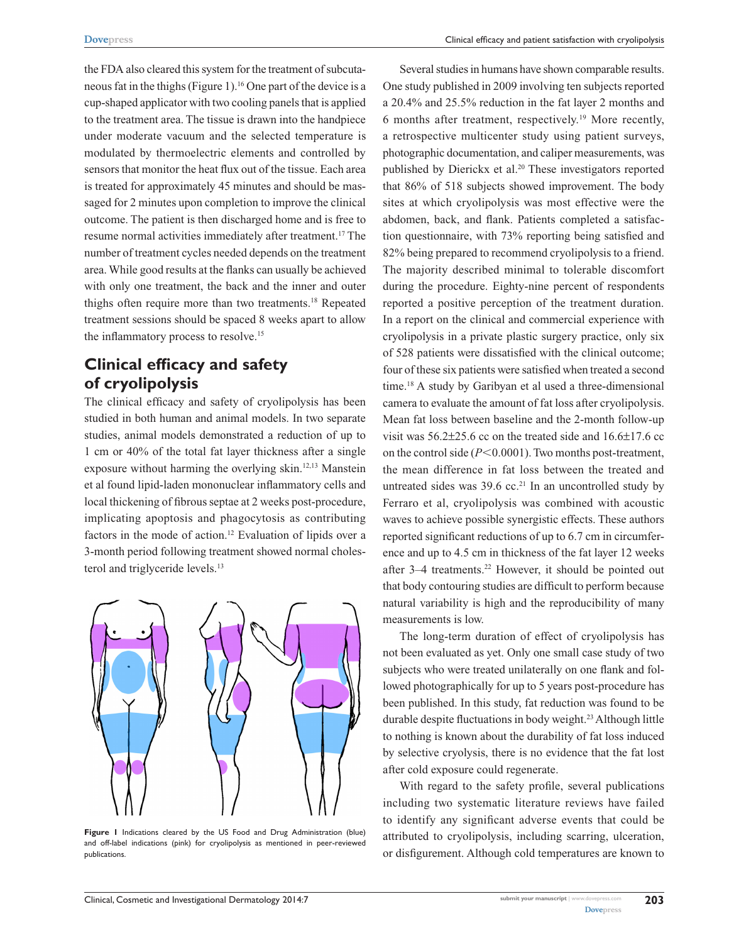the FDA also cleared this system for the treatment of subcutaneous fat in the thighs (Figure 1).16 One part of the device is a cup-shaped applicator with two cooling panels that is applied to the treatment area. The tissue is drawn into the handpiece under moderate vacuum and the selected temperature is modulated by thermoelectric elements and controlled by sensors that monitor the heat flux out of the tissue. Each area is treated for approximately 45 minutes and should be massaged for 2 minutes upon completion to improve the clinical outcome. The patient is then discharged home and is free to resume normal activities immediately after treatment.17 The number of treatment cycles needed depends on the treatment area. While good results at the flanks can usually be achieved with only one treatment, the back and the inner and outer thighs often require more than two treatments.18 Repeated treatment sessions should be spaced 8 weeks apart to allow the inflammatory process to resolve.<sup>15</sup>

# **Clinical efficacy and safety of cryolipolysis**

The clinical efficacy and safety of cryolipolysis has been studied in both human and animal models. In two separate studies, animal models demonstrated a reduction of up to 1 cm or 40% of the total fat layer thickness after a single exposure without harming the overlying skin.<sup>12,13</sup> Manstein et al found lipid-laden mononuclear inflammatory cells and local thickening of fibrous septae at 2 weeks post-procedure, implicating apoptosis and phagocytosis as contributing factors in the mode of action.<sup>12</sup> Evaluation of lipids over a 3-month period following treatment showed normal cholesterol and triglyceride levels.<sup>13</sup>



**Figure 1** Indications cleared by the US Food and Drug Administration (blue) and off-label indications (pink) for cryolipolysis as mentioned in peer-reviewed publications.

Several studies in humans have shown comparable results. One study published in 2009 involving ten subjects reported a 20.4% and 25.5% reduction in the fat layer 2 months and 6 months after treatment, respectively.19 More recently, a retrospective multicenter study using patient surveys, photographic documentation, and caliper measurements, was published by Dierickx et al.<sup>20</sup> These investigators reported that 86% of 518 subjects showed improvement. The body sites at which cryolipolysis was most effective were the abdomen, back, and flank. Patients completed a satisfaction questionnaire, with 73% reporting being satisfied and 82% being prepared to recommend cryolipolysis to a friend. The majority described minimal to tolerable discomfort during the procedure. Eighty-nine percent of respondents reported a positive perception of the treatment duration. In a report on the clinical and commercial experience with cryolipolysis in a private plastic surgery practice, only six of 528 patients were dissatisfied with the clinical outcome; four of these six patients were satisfied when treated a second time.18 A study by Garibyan et al used a three-dimensional camera to evaluate the amount of fat loss after cryolipolysis. Mean fat loss between baseline and the 2-month follow-up visit was 56.2±25.6 cc on the treated side and 16.6±17.6 cc on the control side  $(P<0.0001)$ . Two months post-treatment, the mean difference in fat loss between the treated and untreated sides was  $39.6$  cc.<sup>21</sup> In an uncontrolled study by Ferraro et al, cryolipolysis was combined with acoustic waves to achieve possible synergistic effects. These authors reported significant reductions of up to 6.7 cm in circumference and up to 4.5 cm in thickness of the fat layer 12 weeks after 3–4 treatments.<sup>22</sup> However, it should be pointed out that body contouring studies are difficult to perform because natural variability is high and the reproducibility of many measurements is low.

The long-term duration of effect of cryolipolysis has not been evaluated as yet. Only one small case study of two subjects who were treated unilaterally on one flank and followed photographically for up to 5 years post-procedure has been published. In this study, fat reduction was found to be durable despite fluctuations in body weight.23 Although little to nothing is known about the durability of fat loss induced by selective cryolysis, there is no evidence that the fat lost after cold exposure could regenerate.

With regard to the safety profile, several publications including two systematic literature reviews have failed to identify any significant adverse events that could be attributed to cryolipolysis, including scarring, ulceration, or disfigurement. Although cold temperatures are known to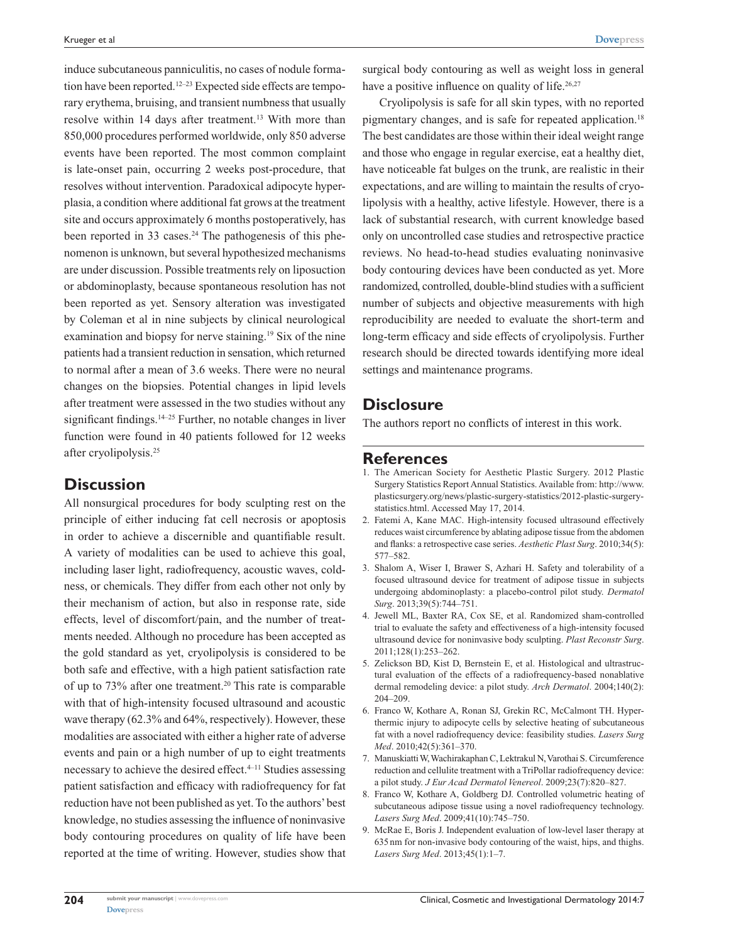induce subcutaneous panniculitis, no cases of nodule formation have been reported.<sup>12–23</sup> Expected side effects are temporary erythema, bruising, and transient numbness that usually resolve within 14 days after treatment.<sup>13</sup> With more than 850,000 procedures performed worldwide, only 850 adverse events have been reported. The most common complaint is late-onset pain, occurring 2 weeks post-procedure, that resolves without intervention. Paradoxical adipocyte hyperplasia, a condition where additional fat grows at the treatment site and occurs approximately 6 months postoperatively, has been reported in 33 cases.<sup>24</sup> The pathogenesis of this phenomenon is unknown, but several hypothesized mechanisms are under discussion. Possible treatments rely on liposuction or abdominoplasty, because spontaneous resolution has not been reported as yet. Sensory alteration was investigated by Coleman et al in nine subjects by clinical neurological examination and biopsy for nerve staining.<sup>19</sup> Six of the nine patients had a transient reduction in sensation, which returned to normal after a mean of 3.6 weeks. There were no neural changes on the biopsies. Potential changes in lipid levels after treatment were assessed in the two studies without any significant findings. $14-25$  Further, no notable changes in liver function were found in 40 patients followed for 12 weeks after cryolipolysis.25

## **Discussion**

All nonsurgical procedures for body sculpting rest on the principle of either inducing fat cell necrosis or apoptosis in order to achieve a discernible and quantifiable result. A variety of modalities can be used to achieve this goal, including laser light, radiofrequency, acoustic waves, coldness, or chemicals. They differ from each other not only by their mechanism of action, but also in response rate, side effects, level of discomfort/pain, and the number of treatments needed. Although no procedure has been accepted as the gold standard as yet, cryolipolysis is considered to be both safe and effective, with a high patient satisfaction rate of up to 73% after one treatment.20 This rate is comparable with that of high-intensity focused ultrasound and acoustic wave therapy (62.3% and 64%, respectively). However, these modalities are associated with either a higher rate of adverse events and pain or a high number of up to eight treatments necessary to achieve the desired effect.<sup>4–11</sup> Studies assessing patient satisfaction and efficacy with radiofrequency for fat reduction have not been published as yet. To the authors' best knowledge, no studies assessing the influence of noninvasive body contouring procedures on quality of life have been reported at the time of writing. However, studies show that surgical body contouring as well as weight loss in general have a positive influence on quality of life.<sup>26,27</sup>

Cryolipolysis is safe for all skin types, with no reported pigmentary changes, and is safe for repeated application.18 The best candidates are those within their ideal weight range and those who engage in regular exercise, eat a healthy diet, have noticeable fat bulges on the trunk, are realistic in their expectations, and are willing to maintain the results of cryolipolysis with a healthy, active lifestyle. However, there is a lack of substantial research, with current knowledge based only on uncontrolled case studies and retrospective practice reviews. No head-to-head studies evaluating noninvasive body contouring devices have been conducted as yet. More randomized, controlled, double-blind studies with a sufficient number of subjects and objective measurements with high reproducibility are needed to evaluate the short-term and long-term efficacy and side effects of cryolipolysis. Further research should be directed towards identifying more ideal settings and maintenance programs.

## **Disclosure**

The authors report no conflicts of interest in this work.

#### **References**

- 1. The American Society for Aesthetic Plastic Surgery. 2012 Plastic Surgery Statistics Report Annual Statistics. Available from: [http://www.](http://www.plasticsurgery.org/news/plastic-surgery-statistics/2012-plastic-surgery-statistics.html) [plasticsurgery.org/news/plastic-surgery-statistics/2012-plastic-surgery](http://www.plasticsurgery.org/news/plastic-surgery-statistics/2012-plastic-surgery-statistics.html)[statistics.html.](http://www.plasticsurgery.org/news/plastic-surgery-statistics/2012-plastic-surgery-statistics.html) Accessed May 17, 2014.
- 2. Fatemi A, Kane MAC. High-intensity focused ultrasound effectively reduces waist circumference by ablating adipose tissue from the abdomen and flanks: a retrospective case series. *Aesthetic Plast Surg*. 2010;34(5): 577–582.
- 3. Shalom A, Wiser I, Brawer S, Azhari H. Safety and tolerability of a focused ultrasound device for treatment of adipose tissue in subjects undergoing abdominoplasty: a placebo-control pilot study. *Dermatol Surg*. 2013;39(5):744–751.
- 4. Jewell ML, Baxter RA, Cox SE, et al. Randomized sham-controlled trial to evaluate the safety and effectiveness of a high-intensity focused ultrasound device for noninvasive body sculpting. *Plast Reconstr Surg*. 2011;128(1):253–262.
- 5. Zelickson BD, Kist D, Bernstein E, et al. Histological and ultrastructural evaluation of the effects of a radiofrequency-based nonablative dermal remodeling device: a pilot study. *Arch Dermatol*. 2004;140(2): 204–209.
- 6. Franco W, Kothare A, Ronan SJ, Grekin RC, McCalmont TH. Hyperthermic injury to adipocyte cells by selective heating of subcutaneous fat with a novel radiofrequency device: feasibility studies. *Lasers Surg Med*. 2010;42(5):361–370.
- 7. Manuskiatti W, Wachirakaphan C, Lektrakul N, Varothai S. Circumference reduction and cellulite treatment with a TriPollar radiofrequency device: a pilot study. *J Eur Acad Dermatol Venereol*. 2009;23(7):820–827.
- 8. Franco W, Kothare A, Goldberg DJ. Controlled volumetric heating of subcutaneous adipose tissue using a novel radiofrequency technology. *Lasers Surg Med*. 2009;41(10):745–750.
- McRae E, Boris J. Independent evaluation of low-level laser therapy at 635nm for non-invasive body contouring of the waist, hips, and thighs. *Lasers Surg Med*. 2013;45(1):1–7.